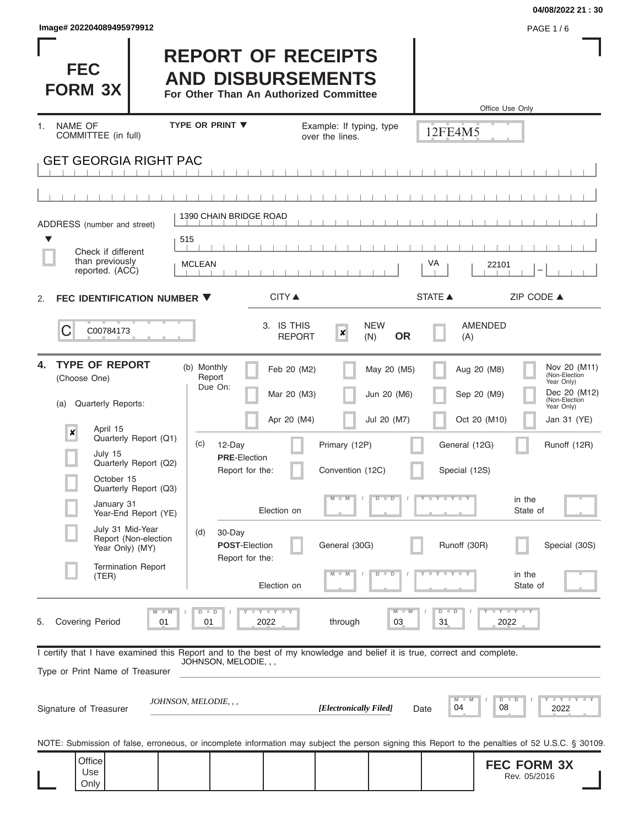**FEC** 

**FORM 3X**

# **REPORT OF RECEIPTS Image# 202204089495979912** PAGE 1 / 6

**AND DISBURSEMENTS**

**For Other Than An Authorized Committee**

|                                                                                                                                                   |                                         |                                             |                                |                | Office Use Only                                            |
|---------------------------------------------------------------------------------------------------------------------------------------------------|-----------------------------------------|---------------------------------------------|--------------------------------|----------------|------------------------------------------------------------|
| NAME OF<br>1.<br>COMMITTEE (in full)                                                                                                              | <b>TYPE OR PRINT ▼</b>                  | Example: If typing, type<br>over the lines. |                                | 12FE4M5        |                                                            |
| <b>GET GEORGIA RIGHT PAC</b>                                                                                                                      |                                         |                                             |                                |                |                                                            |
|                                                                                                                                                   |                                         |                                             |                                |                |                                                            |
|                                                                                                                                                   |                                         |                                             |                                |                |                                                            |
| ADDRESS (number and street)                                                                                                                       | 1390 CHAIN BRIDGE ROAD                  |                                             |                                |                |                                                            |
| Check if different<br>than previously<br>reported. (ACC)                                                                                          | 515<br><b>MCLEAN</b>                    |                                             |                                | VA             | 22101<br>-                                                 |
| FEC IDENTIFICATION NUMBER ▼<br>2.                                                                                                                 | <b>CITY</b> ▲                           |                                             |                                | <b>STATE ▲</b> | ZIP CODE ▲                                                 |
| C<br>C00784173                                                                                                                                    | 3. IS THIS                              | ×<br><b>REPORT</b>                          | <b>NEW</b><br><b>OR</b><br>(N) | (A)            | <b>AMENDED</b>                                             |
| <b>TYPE OF REPORT</b><br>4.<br>(Choose One)                                                                                                       | (b) Monthly<br>Report<br>Due On:        | Feb 20 (M2)                                 | May 20 (M5)                    |                | Nov 20 (M11)<br>Aug 20 (M8)<br>(Non-Election<br>Year Only) |
| <b>Quarterly Reports:</b><br>(a)                                                                                                                  |                                         | Mar 20 (M3)                                 | Jun 20 (M6)                    |                | Dec 20 (M12)<br>Sep 20 (M9)<br>(Non-Election<br>Year Only) |
| April 15<br>$\boldsymbol{x}$                                                                                                                      | Apr 20 (M4)                             |                                             | Jul 20 (M7)                    |                | Oct 20 (M10)<br>Jan 31 (YE)                                |
| Quarterly Report (Q1)<br>July 15                                                                                                                  | (C)<br>12-Day                           | Primary (12P)                               |                                | General (12G)  | Runoff (12R)                                               |
| Quarterly Report (Q2)<br>October 15                                                                                                               | <b>PRE</b> Election<br>Report for the:  | Convention (12C)                            |                                | Special (12S)  |                                                            |
| Quarterly Report (Q3)<br>January 31                                                                                                               |                                         | $-W$                                        | Б<br>ъ                         | Y L Y L        | in the                                                     |
| Year-End Report (YE)<br>July 31 Mid-Year                                                                                                          | Election on<br>30-Day<br>(d)            |                                             |                                |                | State of                                                   |
| Report (Non-election<br>Year Only) (MY)                                                                                                           | <b>POST-Election</b><br>Report for the: | General (30G)                               |                                | Runoff (30R)   | Special (30S)                                              |
| <b>Termination Report</b><br>(TER)                                                                                                                | Election on                             |                                             |                                |                | in the<br>State of                                         |
| <b>Covering Period</b><br>5.<br>01                                                                                                                | Y I Y I Y<br>2022<br>01                 | through                                     | M<br>03                        | D<br>D<br>31   | $-1$ $-1$ $-1$ $-1$ $-1$<br>2022                           |
| I certify that I have examined this Report and to the best of my knowledge and belief it is true, correct and complete.                           | JOHNSON, MELODIE, , ,                   |                                             |                                |                |                                                            |
| Type or Print Name of Treasurer                                                                                                                   |                                         |                                             |                                |                |                                                            |
| Signature of Treasurer                                                                                                                            | JOHNSON, MELODIE, , ,                   | [Electronically Filed]                      |                                | 04<br>Date     | $T$ $Y$ $T$ $Y$ $T$ $Y$<br>D<br>D<br>08<br>2022            |
| NOTE: Submission of false, erroneous, or incomplete information may subject the person signing this Report to the penalties of 52 U.S.C. § 30109. |                                         |                                             |                                |                |                                                            |
| Office<br>Use<br>Only                                                                                                                             |                                         |                                             |                                |                | <b>FEC FORM 3X</b><br>Rev. 05/2016                         |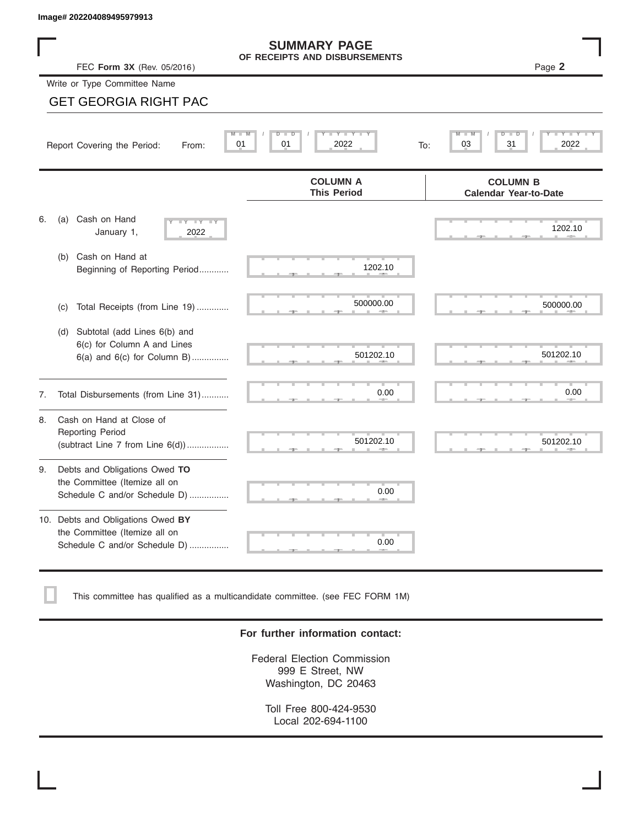|    | Image# 202204089495979913                                                                             |                                                                           |                                                   |  |  |  |  |
|----|-------------------------------------------------------------------------------------------------------|---------------------------------------------------------------------------|---------------------------------------------------|--|--|--|--|
|    | FEC Form 3X (Rev. 05/2016)                                                                            | <b>SUMMARY PAGE</b><br>OF RECEIPTS AND DISBURSEMENTS                      | Page 2                                            |  |  |  |  |
|    | Write or Type Committee Name                                                                          |                                                                           |                                                   |  |  |  |  |
|    | <b>GET GEORGIA RIGHT PAC</b>                                                                          |                                                                           |                                                   |  |  |  |  |
|    | 01<br>Report Covering the Period:<br>From:                                                            | $\Box$ $\Upsilon$ $\Box$ $\Upsilon$ $\Box$<br>D<br>D<br>01<br>2022<br>To: | D<br>Y TY<br>$\blacksquare$ D<br>31<br>03<br>2022 |  |  |  |  |
|    |                                                                                                       | <b>COLUMN A</b><br><b>This Period</b>                                     | <b>COLUMN B</b><br><b>Calendar Year-to-Date</b>   |  |  |  |  |
| 6. | Cash on Hand<br>(a)<br>$-Y - Y - Y$<br>January 1,<br>2022                                             |                                                                           | 1202.10                                           |  |  |  |  |
|    | Cash on Hand at<br>(b)<br>Beginning of Reporting Period                                               | 1202.10                                                                   |                                                   |  |  |  |  |
|    | Total Receipts (from Line 19)<br>(c)                                                                  | 500000.00                                                                 | 500000.00                                         |  |  |  |  |
|    | Subtotal (add Lines 6(b) and<br>(d)<br>6(c) for Column A and Lines<br>$6(a)$ and $6(c)$ for Column B) | 501202.10                                                                 | 501202.10                                         |  |  |  |  |
| 7. | Total Disbursements (from Line 31)                                                                    | 0.00                                                                      | 0.00                                              |  |  |  |  |
| 8. | Cash on Hand at Close of<br>Reporting Period<br>(subtract Line $7$ from Line $6(d)$ )                 | 501202.10                                                                 | 501202.10                                         |  |  |  |  |
| 9. | Debts and Obligations Owed TO<br>the Committee (Itemize all on<br>Schedule C and/or Schedule D)       | 0.00                                                                      |                                                   |  |  |  |  |
|    | 10. Debts and Obligations Owed BY<br>the Committee (Itemize all on<br>Schedule C and/or Schedule D)   | т<br>0.00                                                                 |                                                   |  |  |  |  |

This committee has qualified as a multicandidate committee. (see FEC FORM 1M)

## **For further information contact:**

Federal Election Commission 999 E Street, NW Washington, DC 20463

Toll Free 800-424-9530 Local 202-694-1100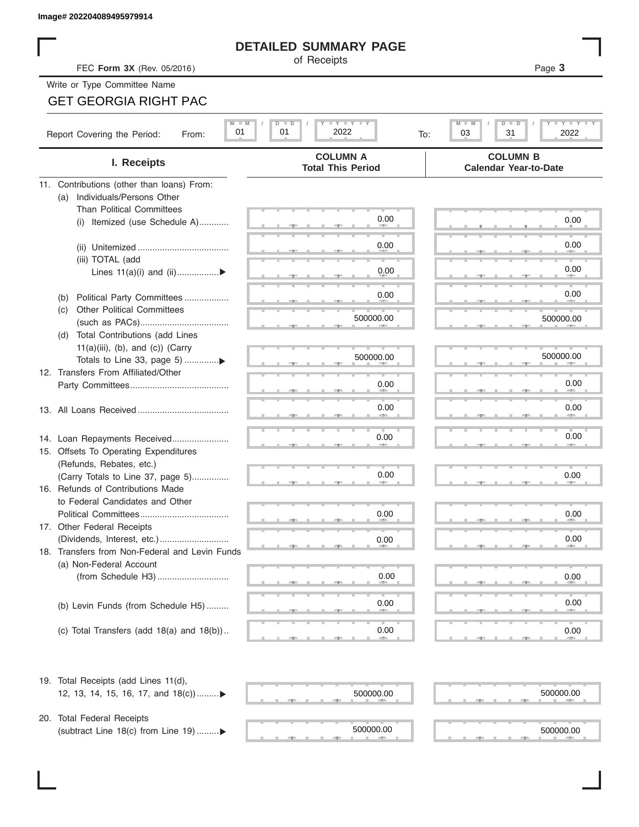# **DETAILED SUMMARY PAGE**

# GET GEORGIA RIGHT PAC

|                                                                               | <b>DETAILED SUMMARY PAGE</b>                                   |                                                 |
|-------------------------------------------------------------------------------|----------------------------------------------------------------|-------------------------------------------------|
| FEC Form 3X (Rev. 05/2016)                                                    | of Receipts                                                    | Page 3                                          |
| Write or Type Committee Name                                                  |                                                                |                                                 |
| <b>GET GEORGIA RIGHT PAC</b>                                                  |                                                                |                                                 |
| $M$ $M$                                                                       | $\Box$ $\Upsilon$ $\Box$ $\Upsilon$ $\Upsilon$ $\Upsilon$<br>D | M<br>$Y = Y$<br>$D$ $\Box$                      |
| 01<br>Report Covering the Period:<br>From:                                    | 2022<br>01<br>To:                                              | 03<br>31<br>2022                                |
| I. Receipts                                                                   | <b>COLUMN A</b><br><b>Total This Period</b>                    | <b>COLUMN B</b><br><b>Calendar Year-to-Date</b> |
| 11. Contributions (other than loans) From:                                    |                                                                |                                                 |
| Individuals/Persons Other<br>(a)                                              |                                                                |                                                 |
| <b>Than Political Committees</b>                                              | 0.00                                                           | 0.00                                            |
| (i) Itemized (use Schedule A)                                                 |                                                                |                                                 |
|                                                                               | 0.00                                                           | 0.00                                            |
| (iii) TOTAL (add                                                              |                                                                |                                                 |
| Lines $11(a)(i)$ and $(ii)$                                                   | 0.00                                                           | 0.00                                            |
|                                                                               | 0.00                                                           | 0.00                                            |
| Political Party Committees<br>(b)<br><b>Other Political Committees</b><br>(C) |                                                                |                                                 |
|                                                                               | 500000.00                                                      | 500000.00                                       |
| Total Contributions (add Lines<br>(d)                                         |                                                                |                                                 |
| $11(a)(iii)$ , (b), and (c)) (Carry                                           |                                                                |                                                 |
|                                                                               | 500000.00                                                      | 500000.00                                       |
| 12. Transfers From Affiliated/Other                                           | 0.00                                                           | 0.00                                            |
|                                                                               |                                                                |                                                 |
|                                                                               | 0.00                                                           | 0.00                                            |
|                                                                               |                                                                |                                                 |
| 14. Loan Repayments Received                                                  | 0.00                                                           | 0.00                                            |
| 15. Offsets To Operating Expenditures                                         |                                                                |                                                 |
| (Refunds, Rebates, etc.)                                                      |                                                                |                                                 |
| (Carry Totals to Line 37, page 5)                                             | 0.00                                                           | 0.00                                            |
| 16. Refunds of Contributions Made<br>to Federal Candidates and Other          |                                                                |                                                 |
| Political Committees                                                          | 0.00                                                           | 0.00                                            |
| 17. Other Federal Receipts                                                    |                                                                |                                                 |
|                                                                               | 0.00                                                           | 0.00                                            |
| 18. Transfers from Non-Federal and Levin Funds                                |                                                                |                                                 |
| (a) Non-Federal Account                                                       |                                                                |                                                 |
|                                                                               | 0.00                                                           | 0.00                                            |
|                                                                               | 0.00                                                           | 0.00                                            |
| (b) Levin Funds (from Schedule H5)                                            |                                                                |                                                 |
| (c) Total Transfers (add $18(a)$ and $18(b)$ )                                | 0.00                                                           | 0.00                                            |
|                                                                               |                                                                |                                                 |
| 19. Total Receipts (add Lines 11(d),<br>12, 13, 14, 15, 16, 17, and 18(c)     | 500000.00                                                      | 500000.00                                       |
|                                                                               |                                                                |                                                 |
| 20. Total Federal Receipts                                                    |                                                                |                                                 |
| (subtract Line 18(c) from Line 19)▶                                           | 500000.00                                                      | 500000.00                                       |

 $\frac{500000.00}{600000.00}$ 

(subtract Line 18(c) from Line 19) ......... $\blacktriangleright$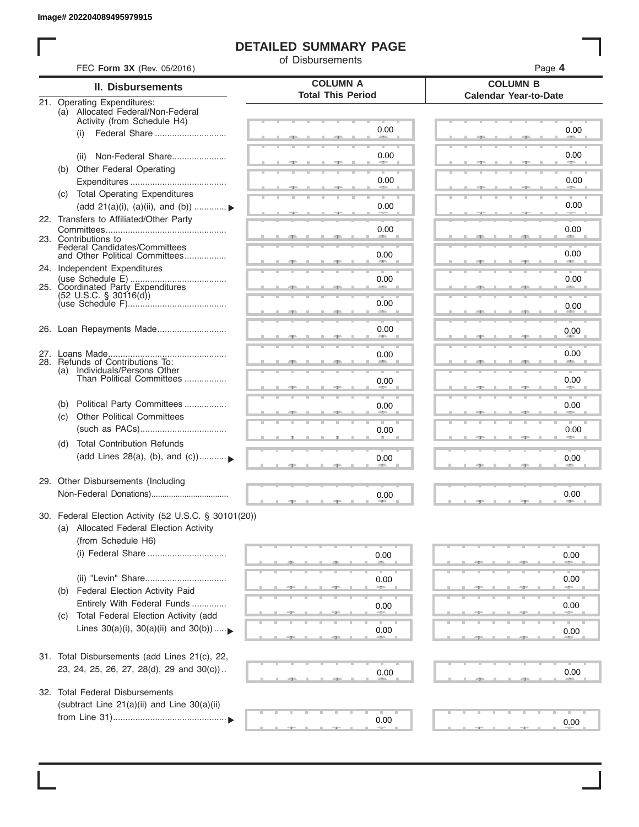I

# **DETAILED SUMMARY PAGE**

of Disbursements

| FEC Form 3X (Rev. 05/2016)                                                                                             |                                             | Page 4                                          |
|------------------------------------------------------------------------------------------------------------------------|---------------------------------------------|-------------------------------------------------|
| II. Disbursements                                                                                                      | <b>COLUMN A</b><br><b>Total This Period</b> | <b>COLUMN B</b><br><b>Calendar Year-to-Date</b> |
| 21. Operating Expenditures:<br>(a) Allocated Federal/Non-Federal<br>Activity (from Schedule H4)                        |                                             |                                                 |
| (i)                                                                                                                    | 0.00                                        | 0.00                                            |
| Non-Federal Share<br>(ii)<br>(b) Other Federal Operating                                                               | 0.00                                        | 0.00                                            |
|                                                                                                                        | 0.00                                        | 0.00                                            |
| (c) Total Operating Expenditures<br>(add 21(a)(i), (a)(ii), and (b))  ▶                                                | 0.00                                        | 0.00                                            |
| 22. Transfers to Affiliated/Other Party                                                                                | 0.00                                        | 0.00                                            |
| 23. Contributions to<br>Federal Candidates/Committees<br>and Other Political Committees                                | 0.00                                        | 0.00                                            |
| 24. Independent Expenditures<br>25. Coordinated Party Expenditures                                                     | 0.00                                        | 0.00                                            |
| $(52 \text{ U.S.C. }$ § 30116(d))                                                                                      | 0.00<br>an a                                | 0.00                                            |
| 26. Loan Repayments Made                                                                                               | 0.00                                        | 0.00                                            |
| 28. Refunds of Contributions To:                                                                                       | 0.00                                        | 0.00                                            |
| (a) Individuals/Persons Other<br>Than Political Committees                                                             | 0.00                                        | 0.00                                            |
| Political Party Committees<br>(b)                                                                                      | 0.00                                        | 0.00                                            |
| <b>Other Political Committees</b><br>(c)                                                                               | 0.00                                        | 0.00                                            |
| <b>Total Contribution Refunds</b><br>(d)<br>(add Lines 28(a), (b), and (c))                                            | 0.00                                        | 0.00                                            |
| 29. Other Disbursements (Including                                                                                     | 0.00                                        | 0.00                                            |
|                                                                                                                        |                                             |                                                 |
| 30. Federal Election Activity (52 U.S.C. § 30101(20))<br>(a) Allocated Federal Election Activity<br>(from Schedule H6) |                                             |                                                 |
|                                                                                                                        | 0.00                                        | 0.00                                            |
| (ii) "Levin" Share<br>Federal Election Activity Paid<br>(b)                                                            | 0.00                                        | 0.00                                            |
| Entirely With Federal Funds<br>Total Federal Election Activity (add                                                    | 0.00                                        | 0.00                                            |
| (C)<br>Lines $30(a)(i)$ , $30(a)(ii)$ and $30(b))$                                                                     | 0.00                                        | 0.00                                            |
| 31. Total Disbursements (add Lines 21(c), 22,                                                                          |                                             |                                                 |
| 23, 24, 25, 26, 27, 28(d), 29 and 30(c))                                                                               | 0.00                                        | 0.00                                            |
| 32. Total Federal Disbursements<br>(subtract Line 21(a)(ii) and Line 30(a)(ii)                                         |                                             |                                                 |
|                                                                                                                        | 0.00                                        | 0.00                                            |
|                                                                                                                        |                                             |                                                 |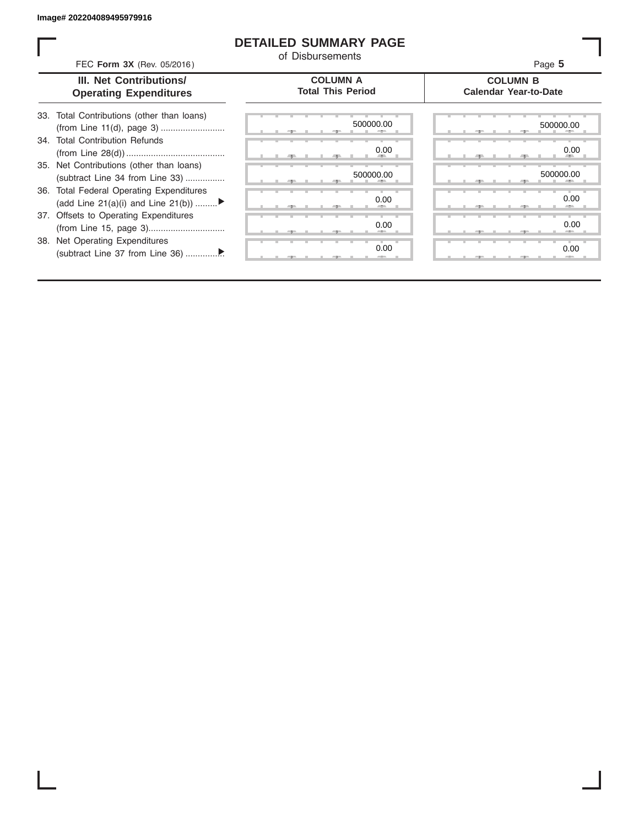## **DETAILED SUMMARY PAGE**

of Disbursements

FEC **Form 3X** (Rev. 05/2016) **Page 5 Product CO Product CO Page 5** 

## **III. Net Contributions/ Operating Expenditures**

#### **COLUMN A Total This Period**

ī

#### **COLUMN B Calendar Year-to-Date**

| 33. Total Contributions (other than loans) |
|--------------------------------------------|
|                                            |
| 34. Total Contribution Refunds             |
|                                            |
| 35. Net Contributions (other than loans)   |
| (subtract Line 34 from Line 33)            |
| 36. Total Federal Operating Expenditures   |
| (add Line 21(a)(i) and Line 21(b))         |
| 37. Offsets to Operating Expenditures      |
|                                            |
| 38. Net Operating Expenditures             |
|                                            |

|  | 一     |   | ш | $-7-$ | 500000.00                |
|--|-------|---|---|-------|--------------------------|
|  |       |   |   |       | 0.00                     |
|  | - 7 - | ٠ | ٠ | - 7 - | -                        |
|  |       |   |   |       | 500000.00                |
|  | - 7 - | ٠ | ш | - 9   |                          |
|  |       |   |   |       | 0.00                     |
|  | $-7-$ | ٠ | ш | $-7-$ | <b>ALC 1999</b>          |
|  | т     | т | т | ٠     | т<br>т<br>٠<br>т<br>0.00 |
|  | "     |   |   | з.    |                          |
|  |       |   | т | ٠     | т<br>т<br>т<br>т<br>0.00 |
|  |       |   |   | 7     | <b>COLL</b>              |

|  |  |    | 500000.00<br>۰            | 500000.00<br>- -                       |  |
|--|--|----|---------------------------|----------------------------------------|--|
|  |  | -9 | 0.00<br><b>AREA</b>       | 0.00<br><b>AREA</b><br><b>ARD</b><br>- |  |
|  |  |    | 500000.00<br>$\mathbb{R}$ | 500000.00                              |  |
|  |  |    | 0.00<br><b>Allen</b>      | 0.00<br>-                              |  |
|  |  |    | 0.00<br>$-$               | 0.00<br>--                             |  |
|  |  |    |                           |                                        |  |